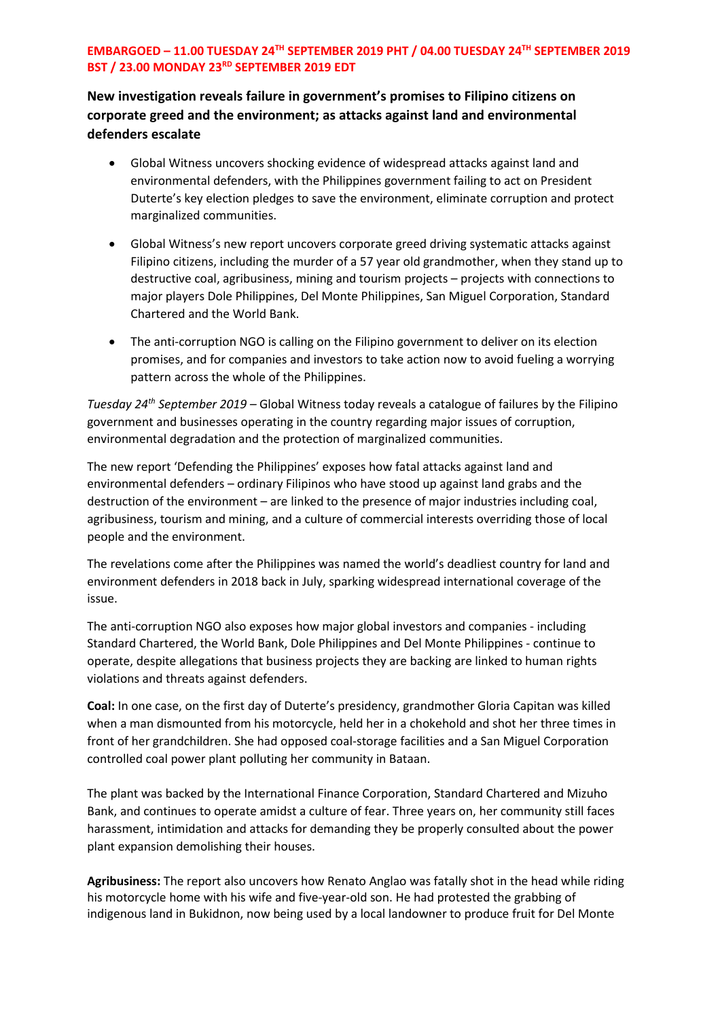**New investigation reveals failure in government's promises to Filipino citizens on corporate greed and the environment; as attacks against land and environmental defenders escalate**

- Global Witness uncovers shocking evidence of widespread attacks against land and environmental defenders, with the Philippines government failing to act on President Duterte's key election pledges to save the environment, eliminate corruption and protect marginalized communities.
- Global Witness's new report uncovers corporate greed driving systematic attacks against Filipino citizens, including the murder of a 57 year old grandmother, when they stand up to destructive coal, agribusiness, mining and tourism projects – projects with connections to major players Dole Philippines, Del Monte Philippines, San Miguel Corporation, Standard Chartered and the World Bank.
- The anti-corruption NGO is calling on the Filipino government to deliver on its election promises, and for companies and investors to take action now to avoid fueling a worrying pattern across the whole of the Philippines.

*Tuesday 24th September 2019 –* Global Witness today reveals a catalogue of failures by the Filipino government and businesses operating in the country regarding major issues of corruption, environmental degradation and the protection of marginalized communities.

The new report 'Defending the Philippines' exposes how fatal attacks against land and environmental defenders – ordinary Filipinos who have stood up against land grabs and the destruction of the environment – are linked to the presence of major industries including coal, agribusiness, tourism and mining, and a culture of commercial interests overriding those of local people and the environment.

The revelations come after the Philippines was named the world's deadliest country for land and environment defenders in 2018 back in July, sparking widespread international coverage of the issue.

The anti-corruption NGO also exposes how major global investors and companies - including Standard Chartered, the World Bank, Dole Philippines and Del Monte Philippines - continue to operate, despite allegations that business projects they are backing are linked to human rights violations and threats against defenders.

**Coal:** In one case, on the first day of Duterte's presidency, grandmother Gloria Capitan was killed when a man dismounted from his motorcycle, held her in a chokehold and shot her three times in front of her grandchildren. She had opposed coal-storage facilities and a San Miguel Corporation controlled coal power plant polluting her community in Bataan.

The plant was backed by the International Finance Corporation, Standard Chartered and Mizuho Bank, and continues to operate amidst a culture of fear. Three years on, her community still faces harassment, intimidation and attacks for demanding they be properly consulted about the power plant expansion demolishing their houses.

**Agribusiness:** The report also uncovers how Renato Anglao was fatally shot in the head while riding his motorcycle home with his wife and five-year-old son. He had protested the grabbing of indigenous land in Bukidnon, now being used by a local landowner to produce fruit for Del Monte